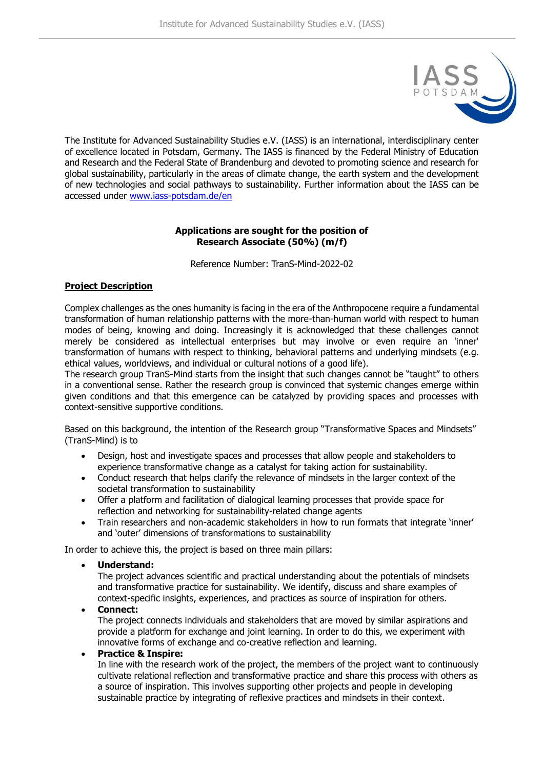

The Institute for Advanced Sustainability Studies e.V. (IASS) is an international, interdisciplinary center of excellence located in Potsdam, Germany. The IASS is financed by the Federal Ministry of Education and Research and the Federal State of Brandenburg and devoted to promoting science and research for global sustainability, particularly in the areas of climate change, the earth system and the development of new technologies and social pathways to sustainability. Further information about the IASS can be accessed under [www.iass-potsdam.de/en](http://www.iass-potsdam.de/en)

## **Applications are sought for the position of Research Associate (50%) (m/f)**

Reference Number: TranS-Mind-2022-02

# **Project Description**

Complex challenges as the ones humanity is facing in the era of the Anthropocene require a fundamental transformation of human relationship patterns with the more-than-human world with respect to human modes of being, knowing and doing. Increasingly it is acknowledged that these challenges cannot merely be considered as intellectual enterprises but may involve or even require an 'inner' transformation of humans with respect to thinking, behavioral patterns and underlying mindsets (e.g. ethical values, worldviews, and individual or cultural notions of a good life).

The research group TranS-Mind starts from the insight that such changes cannot be "taught" to others in a conventional sense. Rather the research group is convinced that systemic changes emerge within given conditions and that this emergence can be catalyzed by providing spaces and processes with context-sensitive supportive conditions.

Based on this background, the intention of the Research group "Transformative Spaces and Mindsets" (TranS-Mind) is to

- Design, host and investigate spaces and processes that allow people and stakeholders to experience transformative change as a catalyst for taking action for sustainability.
- Conduct research that helps clarify the relevance of mindsets in the larger context of the societal transformation to sustainability
- Offer a platform and facilitation of dialogical learning processes that provide space for reflection and networking for sustainability-related change agents
- Train researchers and non-academic stakeholders in how to run formats that integrate 'inner' and 'outer' dimensions of transformations to sustainability

In order to achieve this, the project is based on three main pillars:

• **Understand:**

The project advances scientific and practical understanding about the potentials of mindsets and transformative practice for sustainability. We identify, discuss and share examples of context-specific insights, experiences, and practices as source of inspiration for others.

• **Connect:**

The project connects individuals and stakeholders that are moved by similar aspirations and provide a platform for exchange and joint learning. In order to do this, we experiment with innovative forms of exchange and co-creative reflection and learning.

• **Practice & Inspire:**

In line with the research work of the project, the members of the project want to continuously cultivate relational reflection and transformative practice and share this process with others as a source of inspiration. This involves supporting other projects and people in developing sustainable practice by integrating of reflexive practices and mindsets in their context.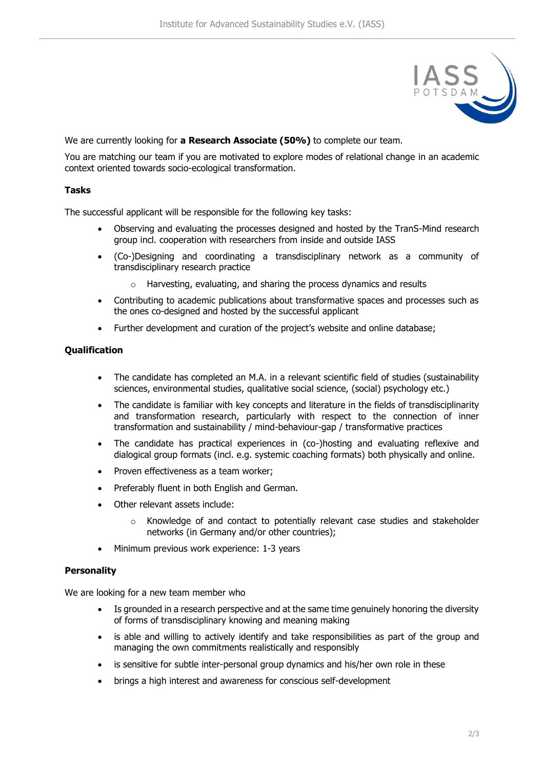

We are currently looking for **a Research Associate (50%)** to complete our team.

You are matching our team if you are motivated to explore modes of relational change in an academic context oriented towards socio-ecological transformation.

### **Tasks**

The successful applicant will be responsible for the following key tasks:

- Observing and evaluating the processes designed and hosted by the TranS-Mind research group incl. cooperation with researchers from inside and outside IASS
- (Co-)Designing and coordinating a transdisciplinary network as a community of transdisciplinary research practice
	- o Harvesting, evaluating, and sharing the process dynamics and results
- Contributing to academic publications about transformative spaces and processes such as the ones co-designed and hosted by the successful applicant
- Further development and curation of the project's website and online database;

## **Qualification**

- The candidate has completed an M.A. in a relevant scientific field of studies (sustainability sciences, environmental studies, qualitative social science, (social) psychology etc.)
- The candidate is familiar with key concepts and literature in the fields of transdisciplinarity and transformation research, particularly with respect to the connection of inner transformation and sustainability / mind-behaviour-gap / transformative practices
- The candidate has practical experiences in (co-)hosting and evaluating reflexive and dialogical group formats (incl. e.g. systemic coaching formats) both physically and online.
- Proven effectiveness as a team worker;
- Preferably fluent in both English and German.
- Other relevant assets include:
	- o Knowledge of and contact to potentially relevant case studies and stakeholder networks (in Germany and/or other countries);
- Minimum previous work experience: 1-3 years

#### **Personality**

We are looking for a new team member who

- Is grounded in a research perspective and at the same time genuinely honoring the diversity of forms of transdisciplinary knowing and meaning making
- is able and willing to actively identify and take responsibilities as part of the group and managing the own commitments realistically and responsibly
- is sensitive for subtle inter-personal group dynamics and his/her own role in these
- brings a high interest and awareness for conscious self-development